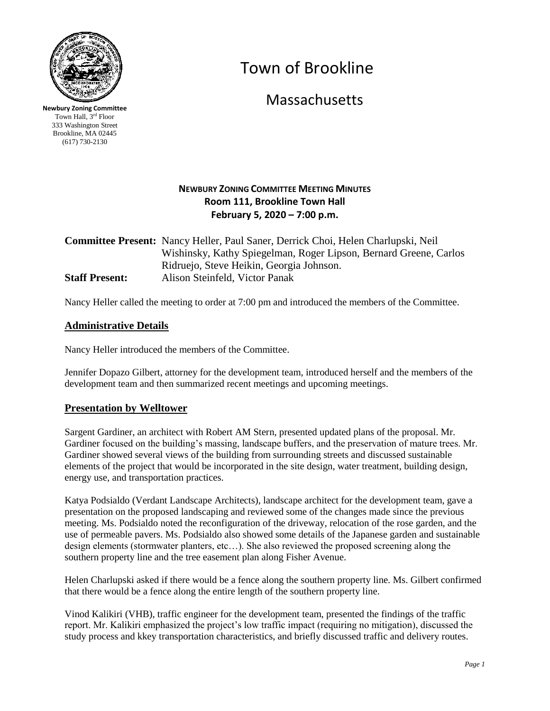

**Newbury Zoning Committee** Town Hall, 3rd Floor 333 Washington Street Brookline, MA 02445 (617) 730-2130

# Town of Brookline

**Massachusetts** 

## **NEWBURY ZONING COMMITTEE MEETING MINUTES Room 111, Brookline Town Hall February 5, 2020 – 7:00 p.m.**

**Committee Present:** Nancy Heller, Paul Saner, Derrick Choi, Helen Charlupski, Neil Wishinsky, Kathy Spiegelman, Roger Lipson, Bernard Greene, Carlos Ridruejo, Steve Heikin, Georgia Johnson. **Staff Present:** Alison Steinfeld, Victor Panak

Nancy Heller called the meeting to order at 7:00 pm and introduced the members of the Committee.

## **Administrative Details**

Nancy Heller introduced the members of the Committee.

Jennifer Dopazo Gilbert, attorney for the development team, introduced herself and the members of the development team and then summarized recent meetings and upcoming meetings.

### **Presentation by Welltower**

Sargent Gardiner, an architect with Robert AM Stern, presented updated plans of the proposal. Mr. Gardiner focused on the building's massing, landscape buffers, and the preservation of mature trees. Mr. Gardiner showed several views of the building from surrounding streets and discussed sustainable elements of the project that would be incorporated in the site design, water treatment, building design, energy use, and transportation practices.

Katya Podsialdo (Verdant Landscape Architects), landscape architect for the development team, gave a presentation on the proposed landscaping and reviewed some of the changes made since the previous meeting. Ms. Podsialdo noted the reconfiguration of the driveway, relocation of the rose garden, and the use of permeable pavers. Ms. Podsialdo also showed some details of the Japanese garden and sustainable design elements (stormwater planters, etc…). She also reviewed the proposed screening along the southern property line and the tree easement plan along Fisher Avenue.

Helen Charlupski asked if there would be a fence along the southern property line. Ms. Gilbert confirmed that there would be a fence along the entire length of the southern property line.

Vinod Kalikiri (VHB), traffic engineer for the development team, presented the findings of the traffic report. Mr. Kalikiri emphasized the project's low traffic impact (requiring no mitigation), discussed the study process and kkey transportation characteristics, and briefly discussed traffic and delivery routes.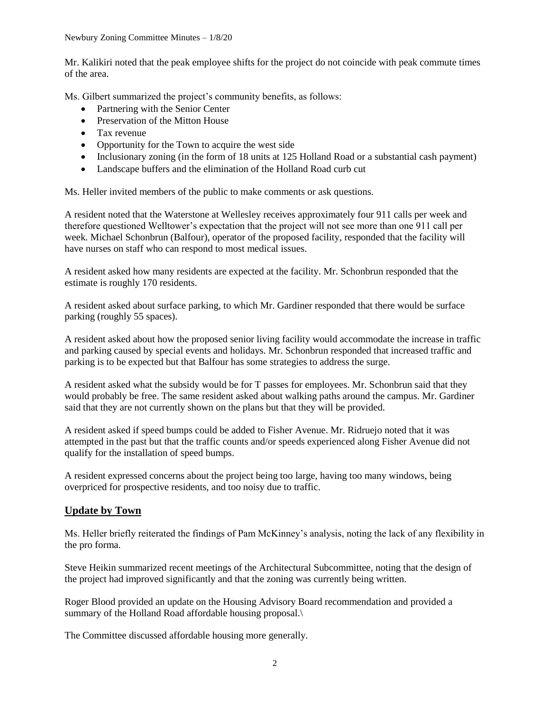Mr. Kalikiri noted that the peak employee shifts for the project do not coincide with peak commute times of the area.

Ms. Gilbert summarized the project's community benefits, as follows:

- Partnering with the Senior Center
- Preservation of the Mitton House
- Tax revenue
- Opportunity for the Town to acquire the west side
- Inclusionary zoning (in the form of 18 units at 125 Holland Road or a substantial cash payment)
- Landscape buffers and the elimination of the Holland Road curb cut

Ms. Heller invited members of the public to make comments or ask questions.

A resident noted that the Waterstone at Wellesley receives approximately four 911 calls per week and therefore questioned Welltower's expectation that the project will not see more than one 911 call per week. Michael Schonbrun (Balfour), operator of the proposed facility, responded that the facility will have nurses on staff who can respond to most medical issues.

A resident asked how many residents are expected at the facility. Mr. Schonbrun responded that the estimate is roughly 170 residents.

A resident asked about surface parking, to which Mr. Gardiner responded that there would be surface parking (roughly 55 spaces).

A resident asked about how the proposed senior living facility would accommodate the increase in traffic and parking caused by special events and holidays. Mr. Schonbrun responded that increased traffic and parking is to be expected but that Balfour has some strategies to address the surge.

A resident asked what the subsidy would be for T passes for employees. Mr. Schonbrun said that they would probably be free. The same resident asked about walking paths around the campus. Mr. Gardiner said that they are not currently shown on the plans but that they will be provided.

A resident asked if speed bumps could be added to Fisher Avenue. Mr. Ridruejo noted that it was attempted in the past but that the traffic counts and/or speeds experienced along Fisher Avenue did not qualify for the installation of speed bumps.

A resident expressed concerns about the project being too large, having too many windows, being overpriced for prospective residents, and too noisy due to traffic.

## **Update by Town**

Ms. Heller briefly reiterated the findings of Pam McKinney's analysis, noting the lack of any flexibility in the pro forma.

Steve Heikin summarized recent meetings of the Architectural Subcommittee, noting that the design of the project had improved significantly and that the zoning was currently being written.

Roger Blood provided an update on the Housing Advisory Board recommendation and provided a summary of the Holland Road affordable housing proposal.\

The Committee discussed affordable housing more generally.